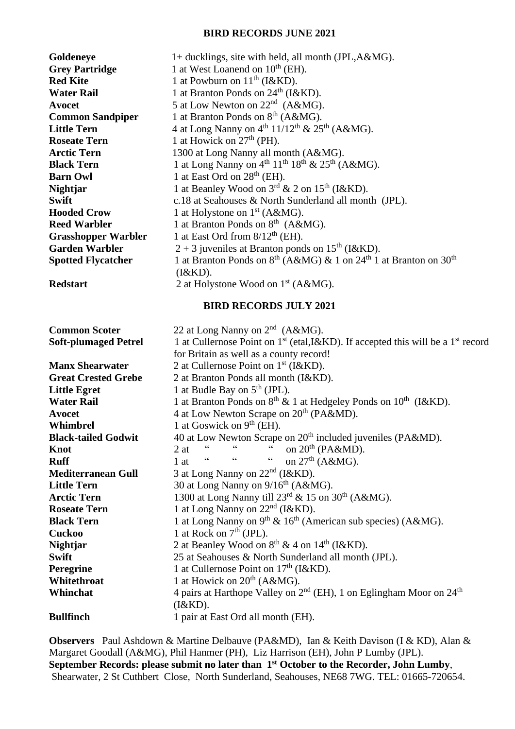## **BIRD RECORDS JUNE 2021**

| Goldeneye                   | 1+ ducklings, site with held, all month (JPL, A&MG).                                                     |
|-----------------------------|----------------------------------------------------------------------------------------------------------|
| <b>Grey Partridge</b>       | 1 at West Loanend on 10 <sup>th</sup> (EH).                                                              |
| <b>Red Kite</b>             | 1 at Powburn on $11th$ (I&KD).                                                                           |
| <b>Water Rail</b>           | 1 at Branton Ponds on 24 <sup>th</sup> (I&KD).                                                           |
| Avocet                      | 5 at Low Newton on $22nd$ (A&MG).                                                                        |
| <b>Common Sandpiper</b>     | 1 at Branton Ponds on 8 <sup>th</sup> (A&MG).                                                            |
| <b>Little Tern</b>          | 4 at Long Nanny on $4^{\text{th}}$ 11/12 <sup>th</sup> & 25 <sup>th</sup> (A&MG).                        |
| <b>Roseate Tern</b>         | 1 at Howick on $27th$ (PH).                                                                              |
| <b>Arctic Tern</b>          | 1300 at Long Nanny all month (A&MG).                                                                     |
| <b>Black Tern</b>           | 1 at Long Nanny on $4th 11th 18th$ & $25th$ (A&MG).                                                      |
| <b>Barn Owl</b>             | 1 at East Ord on $28th$ (EH).                                                                            |
| <b>Nightjar</b>             | 1 at Beanley Wood on $3^{rd}$ & 2 on $15^{th}$ (I&KD).                                                   |
| <b>Swift</b>                | c.18 at Seahouses & North Sunderland all month (JPL).                                                    |
| <b>Hooded Crow</b>          | 1 at Holystone on $1st$ (A&MG).                                                                          |
| <b>Reed Warbler</b>         | 1 at Branton Ponds on $8^{th}$ (A&MG).                                                                   |
| <b>Grasshopper Warbler</b>  | 1 at East Ord from $8/12^{th}$ (EH).                                                                     |
| <b>Garden Warbler</b>       | $2 + 3$ juveniles at Branton ponds on 15 <sup>th</sup> (I&KD).                                           |
| <b>Spotted Flycatcher</b>   | 1 at Branton Ponds on $8^{th}$ (A&MG) & 1 on $24^{th}$ 1 at Branton on $30^{th}$                         |
|                             | (I&KD).                                                                                                  |
| <b>Redstart</b>             | 2 at Holystone Wood on 1 <sup>st</sup> (A&MG).                                                           |
|                             |                                                                                                          |
|                             | <b>BIRD RECORDS JULY 2021</b>                                                                            |
| <b>Common Scoter</b>        | 22 at Long Nanny on $2nd$ (A&MG).                                                                        |
| <b>Soft-plumaged Petrel</b> | 1 at Cullernose Point on 1 <sup>st</sup> (etal, I&KD). If accepted this will be a 1 <sup>st</sup> record |
|                             | for Britain as well as a county record!                                                                  |
| <b>Manx Shearwater</b>      | 2 at Cullernose Point on $1st$ (I&KD).                                                                   |
| <b>Great Crested Grebe</b>  | 2 at Branton Ponds all month (I&KD).                                                                     |
| <b>Little Egret</b>         | 1 at Budle Bay on $5th$ (JPL).                                                                           |
| <b>Water Rail</b>           | 1 at Branton Ponds on 8 <sup>th</sup> & 1 at Hedgeley Ponds on 10 <sup>th</sup> (I&KD).                  |
| Avocet                      | 4 at Low Newton Scrape on 20 <sup>th</sup> (PA&MD).                                                      |
| Whimbrel                    | 1 at Goswick on $9th$ (EH).                                                                              |
|                             |                                                                                                          |

| <b>Black-tailed Godwit</b> | 40 at Low Newton Scrape on 20 <sup>th</sup> included juveniles (PA&MD).                                  |
|----------------------------|----------------------------------------------------------------------------------------------------------|
| Knot                       | " on $20th$ (PA&MD).<br>$\boldsymbol{\varsigma}$ $\boldsymbol{\varsigma}$<br>$\epsilon\epsilon$<br>2 at  |
| <b>Ruff</b>                | $\boldsymbol{\zeta} \boldsymbol{\zeta}$<br>on $27th$ (A&MG).<br>$\overline{66}$<br>$\,$ 6 6 $\,$<br>1 at |
| <b>Mediterranean Gull</b>  | 3 at Long Nanny on $22nd$ (I&KD).                                                                        |
| <b>Little Tern</b>         | 30 at Long Nanny on $9/16^{th}$ (A&MG).                                                                  |
| <b>Arctic Tern</b>         | 1300 at Long Nanny till $23^{\text{rd}}$ & 15 on 30 <sup>th</sup> (A&MG).                                |
| <b>Roseate Tern</b>        | 1 at Long Nanny on $22nd$ (I&KD).                                                                        |
| <b>Black Tern</b>          | 1 at Long Nanny on $9^{th}$ & 16 <sup>th</sup> (American sub species) (A&MG).                            |
| <b>Cuckoo</b>              | 1 at Rock on $7th$ (JPL).                                                                                |
| <b>Nightjar</b>            | 2 at Beanley Wood on $8^{th}$ & 4 on $14^{th}$ (I&KD).                                                   |
| <b>Swift</b>               | 25 at Seahouses & North Sunderland all month (JPL).                                                      |
| <b>Peregrine</b>           | 1 at Cullernose Point on $17th$ (I&KD).                                                                  |
| Whitethroat                | 1 at Howick on $20th$ (A&MG).                                                                            |
| Whinchat                   | 4 pairs at Harthope Valley on $2nd$ (EH), 1 on Eglingham Moor on $24th$                                  |
|                            | (I&KD).                                                                                                  |
| <b>Bullfinch</b>           | 1 pair at East Ord all month (EH).                                                                       |

**Observers** Paul Ashdown & Martine Delbauve (PA&MD), Ian & Keith Davison (I & KD), Alan & Margaret Goodall (A&MG), Phil Hanmer (PH), Liz Harrison (EH), John P Lumby (JPL). **September Records: please submit no later than 1 st October to the Recorder, John Lumby**, Shearwater, 2 St Cuthbert Close, North Sunderland, Seahouses, NE68 7WG. TEL: 01665-720654.